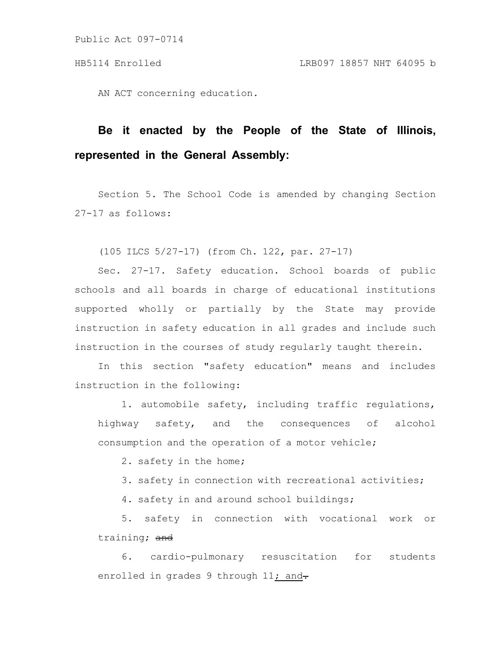Public Act 097-0714

AN ACT concerning education.

## **Be it enacted by the People of the State of Illinois, represented in the General Assembly:**

Section 5. The School Code is amended by changing Section 27-17 as follows:

(105 ILCS 5/27-17) (from Ch. 122, par. 27-17)

Sec. 27-17. Safety education. School boards of public schools and all boards in charge of educational institutions supported wholly or partially by the State may provide instruction in safety education in all grades and include such instruction in the courses of study regularly taught therein.

In this section "safety education" means and includes instruction in the following:

1. automobile safety, including traffic regulations, highway safety, and the consequences of alcohol consumption and the operation of a motor vehicle;

2. safety in the home;

3. safety in connection with recreational activities;

4. safety in and around school buildings;

5. safety in connection with vocational work or training; and

6. cardio-pulmonary resuscitation for students enrolled in grades 9 through 11; and-